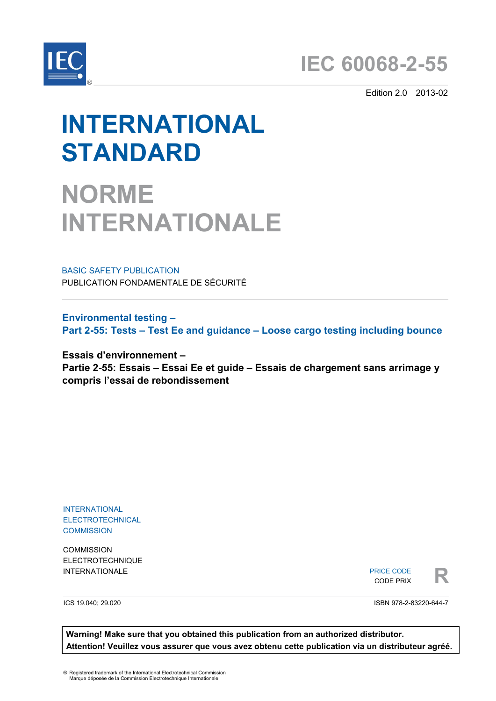

Edition 2.0 2013-02

# **INTERNATIONAL STANDARD**

# **NORME INTERNATIONALE**

## BASIC SAFETY PUBLICATION

PUBLICATION FONDAMENTALE DE SÉCURITÉ

**Environmental testing – Part 2-55: Tests – Test Ee and guidance – Loose cargo testing including bounce** 

**Essais d'environnement – Partie 2-55: Essais – Essai Ee et guide – Essais de chargement sans arrimage y compris l'essai de rebondissement**

INTERNATIONAL **ELECTROTECHNICAL COMMISSION** 

**COMMISSION** ELECTROTECHNIQUE

INTERNATIONALE PRICE CODE PRIX PRICE CODE CODE PRIX



ICS 19.040; 29.020

ISBN 978-2-83220-644-7

**Warning! Make sure that you obtained this publication from an authorized distributor. Attention! Veuillez vous assurer que vous avez obtenu cette publication via un distributeur agréé.**

® Registered trademark of the International Electrotechnical Commission Marque déposée de la Commission Electrotechnique Internationale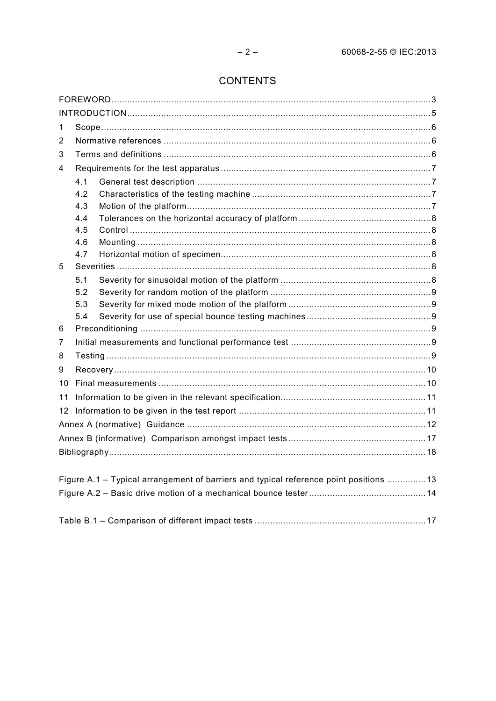## **CONTENTS**

| 1               |     |                                                                                       |  |  |  |
|-----------------|-----|---------------------------------------------------------------------------------------|--|--|--|
| 2               |     |                                                                                       |  |  |  |
| 3               |     |                                                                                       |  |  |  |
| 4               |     |                                                                                       |  |  |  |
|                 | 4.1 |                                                                                       |  |  |  |
|                 | 4.2 |                                                                                       |  |  |  |
|                 | 4.3 |                                                                                       |  |  |  |
|                 | 4.4 |                                                                                       |  |  |  |
|                 | 4.5 |                                                                                       |  |  |  |
|                 | 4.6 |                                                                                       |  |  |  |
|                 | 4.7 |                                                                                       |  |  |  |
| 5               |     |                                                                                       |  |  |  |
|                 | 5.1 |                                                                                       |  |  |  |
|                 | 5.2 |                                                                                       |  |  |  |
|                 | 5.3 |                                                                                       |  |  |  |
|                 | 5.4 |                                                                                       |  |  |  |
| 6               |     |                                                                                       |  |  |  |
| 7               |     |                                                                                       |  |  |  |
| 8               |     |                                                                                       |  |  |  |
| 9               |     |                                                                                       |  |  |  |
| 10              |     |                                                                                       |  |  |  |
| 11              |     |                                                                                       |  |  |  |
| 12 <sub>2</sub> |     |                                                                                       |  |  |  |
|                 |     |                                                                                       |  |  |  |
|                 |     |                                                                                       |  |  |  |
|                 |     |                                                                                       |  |  |  |
|                 |     |                                                                                       |  |  |  |
|                 |     | Figure A.1 - Typical arrangement of barriers and typical reference point positions 13 |  |  |  |
|                 |     |                                                                                       |  |  |  |
|                 |     |                                                                                       |  |  |  |
|                 |     |                                                                                       |  |  |  |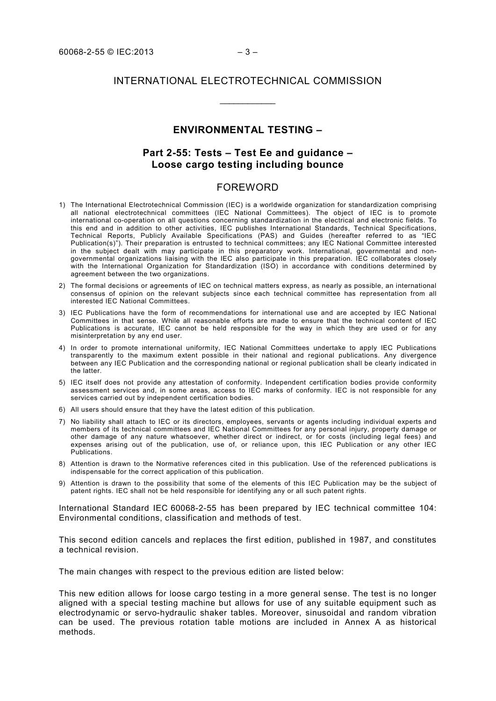## INTERNATIONAL ELECTROTECHNICAL COMMISSION

 $\overline{\phantom{a}}$ 

#### **ENVIRONMENTAL TESTING –**

## **Part 2-55: Tests – Test Ee and guidance – Loose cargo testing including bounce**

#### FOREWORD

- 1) The International Electrotechnical Commission (IEC) is a worldwide organization for standardization comprising all national electrotechnical committees (IEC National Committees). The object of IEC is to promote international co-operation on all questions concerning standardization in the electrical and electronic fields. To this end and in addition to other activities, IEC publishes International Standards, Technical Specifications, Technical Reports, Publicly Available Specifications (PAS) and Guides (hereafter referred to as "IEC Publication(s)"). Their preparation is entrusted to technical committees; any IEC National Committee interested in the subject dealt with may participate in this preparatory work. International, governmental and nongovernmental organizations liaising with the IEC also participate in this preparation. IEC collaborates closely with the International Organization for Standardization (ISO) in accordance with conditions determined by agreement between the two organizations.
- 2) The formal decisions or agreements of IEC on technical matters express, as nearly as possible, an international consensus of opinion on the relevant subjects since each technical committee has representation from all interested IEC National Committees.
- 3) IEC Publications have the form of recommendations for international use and are accepted by IEC National Committees in that sense. While all reasonable efforts are made to ensure that the technical content of IEC Publications is accurate, IEC cannot be held responsible for the way in which they are used or for any misinterpretation by any end user.
- 4) In order to promote international uniformity, IEC National Committees undertake to apply IEC Publications transparently to the maximum extent possible in their national and regional publications. Any divergence between any IEC Publication and the corresponding national or regional publication shall be clearly indicated in the latter.
- 5) IEC itself does not provide any attestation of conformity. Independent certification bodies provide conformity assessment services and, in some areas, access to IEC marks of conformity. IEC is not responsible for any services carried out by independent certification bodies.
- 6) All users should ensure that they have the latest edition of this publication.
- 7) No liability shall attach to IEC or its directors, employees, servants or agents including individual experts and members of its technical committees and IEC National Committees for any personal injury, property damage or other damage of any nature whatsoever, whether direct or indirect, or for costs (including legal fees) and expenses arising out of the publication, use of, or reliance upon, this IEC Publication or any other IEC Publications.
- 8) Attention is drawn to the Normative references cited in this publication. Use of the referenced publications is indispensable for the correct application of this publication.
- 9) Attention is drawn to the possibility that some of the elements of this IEC Publication may be the subject of patent rights. IEC shall not be held responsible for identifying any or all such patent rights.

International Standard IEC 60068-2-55 has been prepared by IEC technical committee 104: Environmental conditions, classification and methods of test.

This second edition cancels and replaces the first edition, published in 1987, and constitutes a technical revision.

The main changes with respect to the previous edition are listed below:

This new edition allows for loose cargo testing in a more general sense. The test is no longer aligned with a special testing machine but allows for use of any suitable equipment such as electrodynamic or servo-hydraulic shaker tables. Moreover, sinusoidal and random vibration can be used. The previous rotation table motions are included in Annex A as historical methods.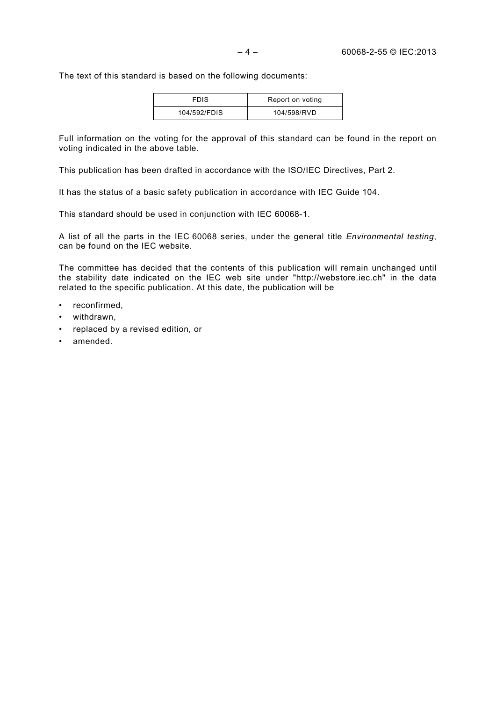The text of this standard is based on the following documents:

| <b>FDIS</b>  | Report on voting |
|--------------|------------------|
| 104/592/FDIS | 104/598/RVD      |

Full information on the voting for the approval of this standard can be found in the report on voting indicated in the above table.

This publication has been drafted in accordance with the ISO/IEC Directives, Part 2.

It has the status of a basic safety publication in accordance with IEC Guide 104.

This standard should be used in conjunction with IEC 60068-1.

A list of all the parts in the IEC 60068 series, under the general title *Environmental testing*, can be found on the IEC website.

The committee has decided that the contents of this publication will remain unchanged until the stability date indicated on the IEC web site under "http://webstore.iec.ch" in the data related to the specific publication. At this date, the publication will be

- reconfirmed,
- withdrawn,
- replaced by a revised edition, or
- amended.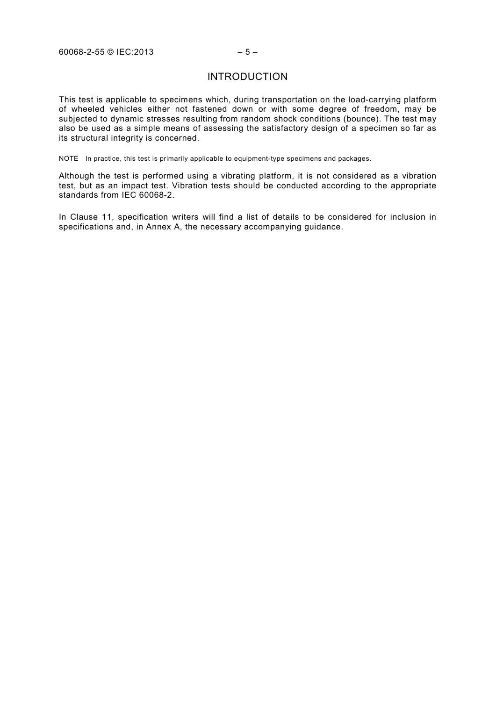#### INTRODUCTION

This test is applicable to specimens which, during transportation on the load-carrying platform of wheeled vehicles either not fastened down or with some degree of freedom, may be subjected to dynamic stresses resulting from random shock conditions (bounce). The test may also be used as a simple means of assessing the satisfactory design of a specimen so far as its structural integrity is concerned.

NOTE In practice, this test is primarily applicable to equipment-type specimens and packages.

Although the test is performed using a vibrating platform, it is not considered as a vibration test, but as an impact test. Vibration tests should be conducted according to the appropriate standards from IEC 60068-2.

In Clause 11, specification writers will find a list of details to be considered for inclusion in specifications and, in Annex A, the necessary accompanying guidance.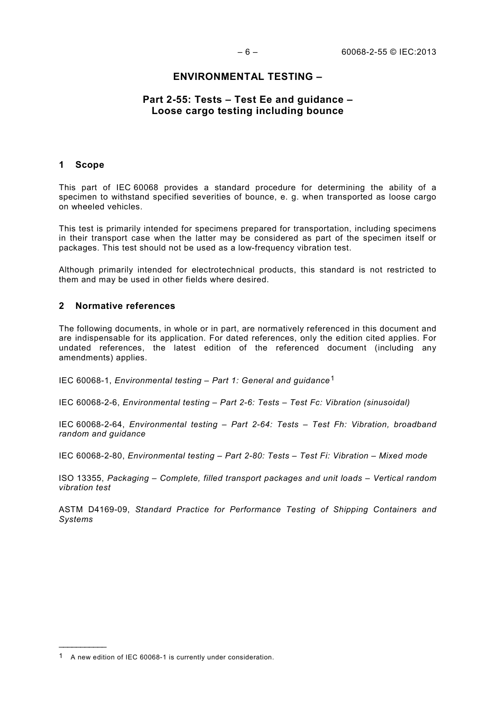## **ENVIRONMENTAL TESTING –**

## **Part 2-55: Tests – Test Ee and guidance – Loose cargo testing including bounce**

#### **1 Scope**

This part of IEC 60068 provides a standard procedure for determining the ability of a specimen to withstand specified severities of bounce, e. g. when transported as loose cargo on wheeled vehicles.

This test is primarily intended for specimens prepared for transportation, including specimens in their transport case when the latter may be considered as part of the specimen itself or packages. This test should not be used as a low-frequency vibration test.

Although primarily intended for electrotechnical products, this standard is not restricted to them and may be used in other fields where desired.

#### **2 Normative references**

The following documents, in whole or in part, are normatively referenced in this document and are indispensable for its application. For dated references, only the edition cited applies. For undated references, the latest edition of the referenced document (including any amendments) applies.

IEC 60068-1, *Environmental testing – Part 1: General and guidance*[1](#page-5-0)

IEC 60068-2-6, *Environmental testing – Part 2-6: Tests – Test Fc: Vibration (sinusoidal)*

IEC 60068-2-64, *Environmental testing – Part 2-64: Tests – Test Fh: Vibration, broadband random and guidance*

IEC 60068-2-80, *Environmental testing – Part 2-80: Tests – Test Fi: Vibration – Mixed mode*

ISO 13355, *Packaging – Complete, filled transport packages and unit loads – Vertical random vibration test*

ASTM D4169-09, *Standard Practice for Performance Testing of Shipping Containers and Systems*

 $\overline{\phantom{a}}$ 

<span id="page-5-0"></span><sup>1</sup> A new edition of IEC 60068-1 is currently under consideration.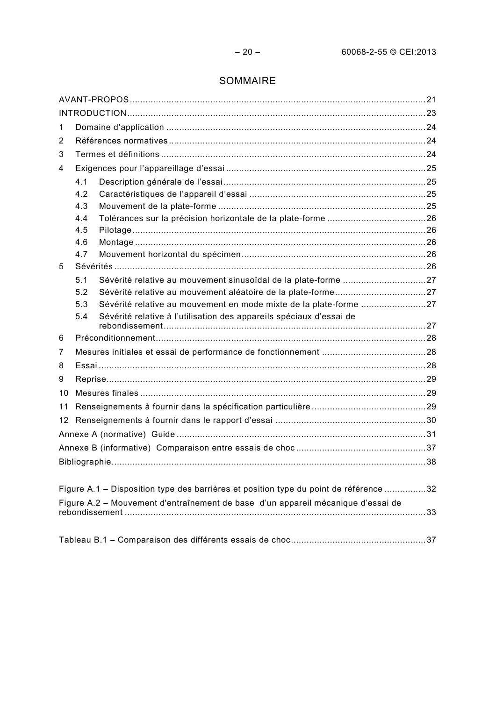## SOMMAIRE

| 1  |     |                                                                                       |  |  |  |  |
|----|-----|---------------------------------------------------------------------------------------|--|--|--|--|
| 2  |     |                                                                                       |  |  |  |  |
| 3  |     |                                                                                       |  |  |  |  |
| 4  |     |                                                                                       |  |  |  |  |
|    | 4.1 |                                                                                       |  |  |  |  |
|    | 4.2 |                                                                                       |  |  |  |  |
|    | 4.3 |                                                                                       |  |  |  |  |
|    | 4.4 |                                                                                       |  |  |  |  |
|    | 4.5 |                                                                                       |  |  |  |  |
|    | 4.6 |                                                                                       |  |  |  |  |
|    | 4.7 |                                                                                       |  |  |  |  |
| 5  |     |                                                                                       |  |  |  |  |
|    | 5.1 |                                                                                       |  |  |  |  |
|    | 5.2 |                                                                                       |  |  |  |  |
|    | 5.3 | Sévérité relative au mouvement en mode mixte de la plate-forme 27                     |  |  |  |  |
|    | 5.4 | Sévérité relative à l'utilisation des appareils spéciaux d'essai de                   |  |  |  |  |
| 6  |     |                                                                                       |  |  |  |  |
| 7  |     |                                                                                       |  |  |  |  |
| 8  |     |                                                                                       |  |  |  |  |
| 9  |     |                                                                                       |  |  |  |  |
|    |     |                                                                                       |  |  |  |  |
| 10 |     |                                                                                       |  |  |  |  |
| 11 |     |                                                                                       |  |  |  |  |
| 12 |     |                                                                                       |  |  |  |  |
|    |     |                                                                                       |  |  |  |  |
|    |     |                                                                                       |  |  |  |  |
|    |     |                                                                                       |  |  |  |  |
|    |     |                                                                                       |  |  |  |  |
|    |     | Figure A.1 – Disposition type des barrières et position type du point de référence 32 |  |  |  |  |
|    |     | Figure A.2 - Mouvement d'entraînement de base d'un appareil mécanique d'essai de      |  |  |  |  |
|    |     |                                                                                       |  |  |  |  |
|    |     |                                                                                       |  |  |  |  |
|    |     |                                                                                       |  |  |  |  |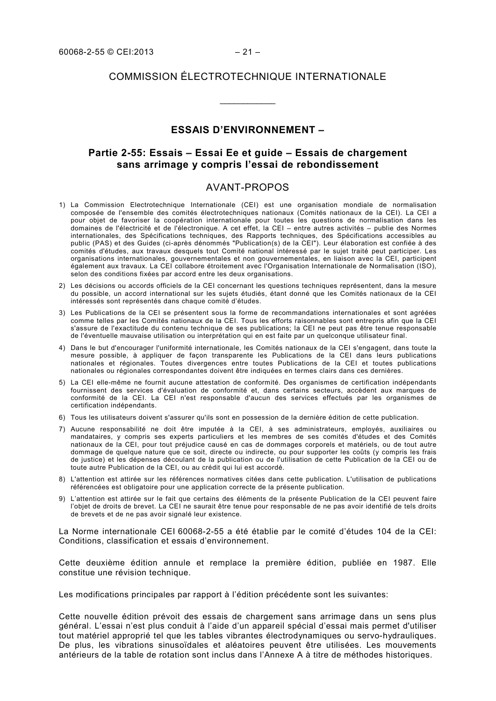## COMMISSION ÉLECTROTECHNIQUE INTERNATIONALE

 $\overline{\phantom{a}}$ 

#### **ESSAIS D'ENVIRONNEMENT –**

## **Partie 2-55: Essais – Essai Ee et guide – Essais de chargement sans arrimage y compris l'essai de rebondissement**

#### AVANT-PROPOS

- 1) La Commission Electrotechnique Internationale (CEI) est une organisation mondiale de normalisation composée de l'ensemble des comités électrotechniques nationaux (Comités nationaux de la CEI). La CEI a pour objet de favoriser la coopération internationale pour toutes les questions de normalisation dans les domaines de l'électricité et de l'électronique. A cet effet, la CEI – entre autres activités – publie des Normes internationales, des Spécifications techniques, des Rapports techniques, des Spécifications accessibles au public (PAS) et des Guides (ci-après dénommés "Publication(s) de la CEI"). Leur élaboration est confiée à des comités d'études, aux travaux desquels tout Comité national intéressé par le sujet traité peut participer. Les organisations internationales, gouvernementales et non gouvernementales, en liaison avec la CEI, participent également aux travaux. La CEI collabore étroitement avec l'Organisation Internationale de Normalisation (ISO), selon des conditions fixées par accord entre les deux organisations.
- 2) Les décisions ou accords officiels de la CEI concernant les questions techniques représentent, dans la mesure du possible, un accord international sur les sujets étudiés, étant donné que les Comités nationaux de la CEI intéressés sont représentés dans chaque comité d'études.
- 3) Les Publications de la CEI se présentent sous la forme de recommandations internationales et sont agréées comme telles par les Comités nationaux de la CEI. Tous les efforts raisonnables sont entrepris afin que la CEI s'assure de l'exactitude du contenu technique de ses publications; la CEI ne peut pas être tenue responsable de l'éventuelle mauvaise utilisation ou interprétation qui en est faite par un quelconque utilisateur final.
- 4) Dans le but d'encourager l'uniformité internationale, les Comités nationaux de la CEI s'engagent, dans toute la mesure possible, à appliquer de façon transparente les Publications de la CEI dans leurs publications nationales et régionales. Toutes divergences entre toutes Publications de la CEI et toutes publications nationales ou régionales correspondantes doivent être indiquées en termes clairs dans ces dernières.
- 5) La CEI elle-même ne fournit aucune attestation de conformité. Des organismes de certification indépendants fournissent des services d'évaluation de conformité et, dans certains secteurs, accèdent aux marques de conformité de la CEI. La CEI n'est responsable d'aucun des services effectués par les organismes de certification indépendants.
- 6) Tous les utilisateurs doivent s'assurer qu'ils sont en possession de la dernière édition de cette publication.
- 7) Aucune responsabilité ne doit être imputée à la CEI, à ses administrateurs, employés, auxiliaires ou mandataires, y compris ses experts particuliers et les membres de ses comités d'études et des Comités nationaux de la CEI, pour tout préjudice causé en cas de dommages corporels et matériels, ou de tout autre dommage de quelque nature que ce soit, directe ou indirecte, ou pour supporter les coûts (y compris les frais de justice) et les dépenses découlant de la publication ou de l'utilisation de cette Publication de la CEI ou de toute autre Publication de la CEI, ou au crédit qui lui est accordé.
- 8) L'attention est attirée sur les références normatives citées dans cette publication. L'utilisation de publications référencées est obligatoire pour une application correcte de la présente publication.
- 9) L'attention est attirée sur le fait que certains des éléments de la présente Publication de la CEI peuvent faire l'objet de droits de brevet. La CEI ne saurait être tenue pour responsable de ne pas avoir identifié de tels droits de brevets et de ne pas avoir signalé leur existence.

La Norme internationale CEI 60068-2-55 a été établie par le comité d'études 104 de la CEI: Conditions, classification et essais d'environnement.

Cette deuxième édition annule et remplace la première édition, publiée en 1987. Elle constitue une révision technique.

Les modifications principales par rapport à l'édition précédente sont les suivantes:

Cette nouvelle édition prévoit des essais de chargement sans arrimage dans un sens plus général. L'essai n'est plus conduit à l'aide d'un appareil spécial d'essai mais permet d'utiliser tout matériel approprié tel que les tables vibrantes électrodynamiques ou servo-hydrauliques. De plus, les vibrations sinusoïdales et aléatoires peuvent être utilisées. Les mouvements antérieurs de la table de rotation sont inclus dans l'Annexe A à titre de méthodes historiques.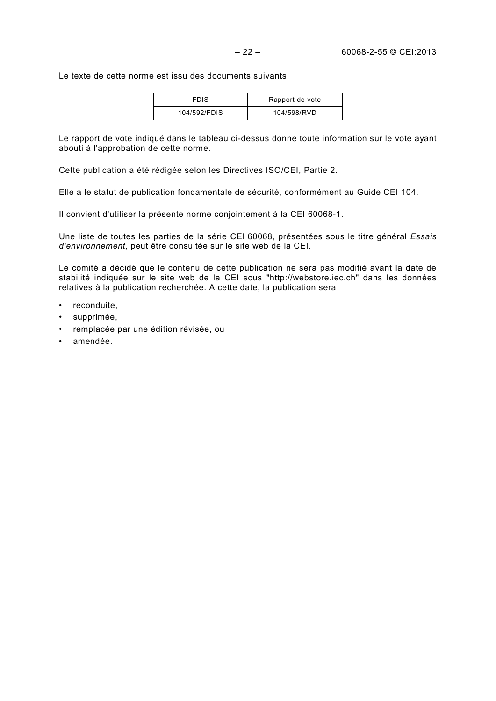Le texte de cette norme est issu des documents suivants:

| <b>FDIS</b>  | Rapport de vote |
|--------------|-----------------|
| 104/592/FDIS | 104/598/RVD     |

Le rapport de vote indiqué dans le tableau ci-dessus donne toute information sur le vote ayant abouti à l'approbation de cette norme.

Cette publication a été rédigée selon les Directives ISO/CEI, Partie 2.

Elle a le statut de publication fondamentale de sécurité, conformément au Guide CEI 104.

Il convient d'utiliser la présente norme conjointement à la CEI 60068-1.

Une liste de toutes les parties de la série CEI 60068, présentées sous le titre général *Essais d'environnement,* peut être consultée sur le site web de la CEI.

Le comité a décidé que le contenu de cette publication ne sera pas modifié avant la date de stabilité indiquée sur le site web de la CEI sous "http://webstore.iec.ch" dans les données relatives à la publication recherchée. A cette date, la publication sera

- reconduite,
- supprimée,
- remplacée par une édition révisée, ou
- amendée.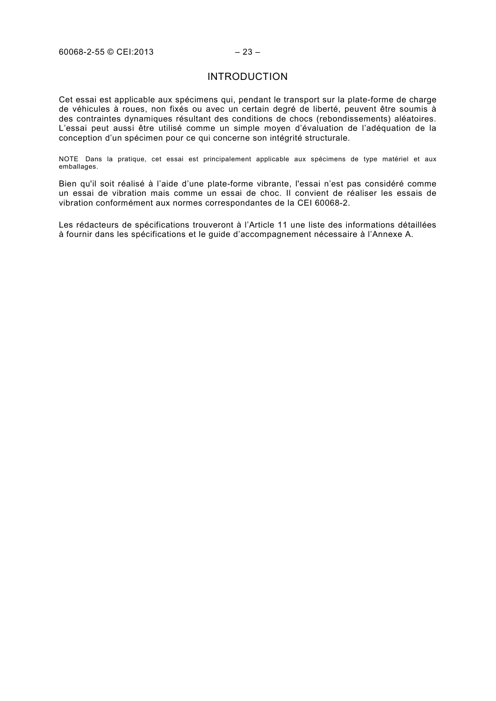#### INTRODUCTION

Cet essai est applicable aux spécimens qui, pendant le transport sur la plate-forme de charge de véhicules à roues, non fixés ou avec un certain degré de liberté, peuvent être soumis à des contraintes dynamiques résultant des conditions de chocs (rebondissements) aléatoires. L'essai peut aussi être utilisé comme un simple moyen d'évaluation de l'adéquation de la conception d'un spécimen pour ce qui concerne son intégrité structurale.

NOTE Dans la pratique, cet essai est principalement applicable aux spécimens de type matériel et aux emballages.

Bien qu'il soit réalisé à l'aide d'une plate-forme vibrante, l'essai n'est pas considéré comme un essai de vibration mais comme un essai de choc. Il convient de réaliser les essais de vibration conformément aux normes correspondantes de la CEI 60068-2.

Les rédacteurs de spécifications trouveront à l'Article 11 une liste des informations détaillées à fournir dans les spécifications et le guide d'accompagnement nécessaire à l'Annexe A.